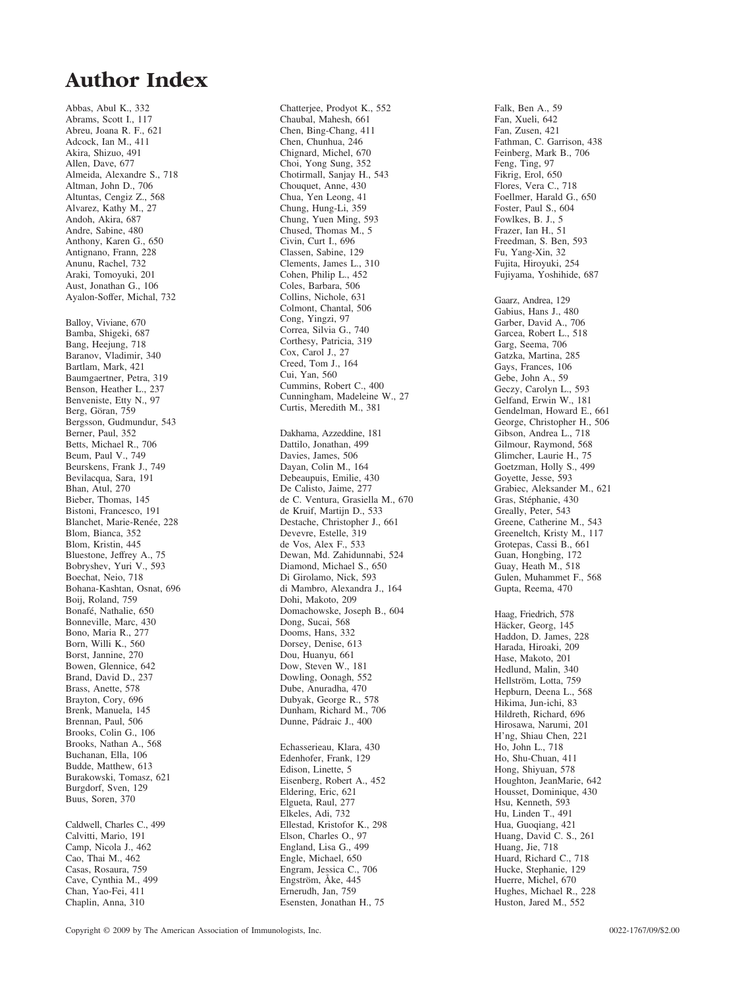### **Author Index**

Abbas, Abul K., 332 Abrams, Scott I., 117 Abreu, Joana R. F., 621 Adcock, Ian M., 411 Akira, Shizuo, 491 Allen, Dave, 677 Almeida, Alexandre S., 718 Altman, John D., 706 Altuntas, Cengiz Z., 568 Alvarez, Kathy M., 27 Andoh, Akira, 687 Andre, Sabine, 480 Anthony, Karen G., 650 Antignano, Frann, 228 Anunu, Rachel, 732 Araki, Tomoyuki, 201 Aust, Jonathan G., 106 Ayalon-Soffer, Michal, 732 Balloy, Viviane, 670 Bamba, Shigeki, 687 Bang, Heejung, 718 Baranov, Vladimir, 340 Bartlam, Mark, 421 Baumgaertner, Petra, 319 Benson, Heather L., 237 Benveniste, Etty N., 97 Berg, Göran, 759 Bergsson, Gudmundur, 543 Berner, Paul, 352 Betts, Michael R., 706 Beum, Paul V., 749 Beurskens, Frank J., 749 Bevilacqua, Sara, 191 Bhan, Atul, 270 Bieber, Thomas, 145 Bistoni, Francesco, 191 Blanchet, Marie-Renée, 228 Blom, Bianca, 352 Blom, Kristin, 445 Bluestone, Jeffrey A., 75 Bobryshev, Yuri V., 593 Boechat, Neio, 718 Bohana-Kashtan, Osnat, 696 Boij, Roland, 759 Bonafé, Nathalie, 650 Bonneville, Marc, 430 Bono, Maria R., 277 Born, Willi K., 560 Borst, Jannine, 270 Bowen, Glennice, 642 Brand, David D., 237 Brass, Anette, 578 Brayton, Cory, 696 Brenk, Manuela, 145 Brennan, Paul, 506 Brooks, Colin G., 106 Brooks, Nathan A., 568 Buchanan, Ella, 106 Budde, Matthew, 613 Burakowski, Tomasz, 621 Burgdorf, Sven, 129 Buus, Soren, 370 Caldwell, Charles C., 499 Calvitti, Mario, 191 Camp, Nicola J., 462

Cao, Thai M., 462 Casas, Rosaura, 759 Cave, Cynthia M., 499 Chan, Yao-Fei, 411 Chaplin, Anna, 310

Chatterjee, Prodyot K., 552 Chaubal, Mahesh, 661 Chen, Bing-Chang, 411 Chen, Chunhua, 246 Chignard, Michel, 670 Choi, Yong Sung, 352 Chotirmall, Sanjay H., 543 Chouquet, Anne, 430 Chua, Yen Leong, 41 Chung, Hung-Li, 359 Chung, Yuen Ming, 593 Chused, Thomas M., 5 Civin, Curt I., 696 Classen, Sabine, 129 Clements, James L., 310 Cohen, Philip L., 452 Coles, Barbara, 506 Collins, Nichole, 631 Colmont, Chantal, 506 Cong, Yingzi, 97 Correa, Silvia G., 740 Corthesy, Patricia, 319 Cox, Carol J., 27 Creed, Tom J., 164 Cui, Yan, 560 Cummins, Robert C., 400 Cunningham, Madeleine W., 27 Curtis, Meredith M., 381 Dakhama, Azzeddine, 181 Dattilo, Jonathan, 499 Davies, James, 506 Dayan, Colin M., 164 Debeaupuis, Emilie, 430 De Calisto, Jaime, 277 de C. Ventura, Grasiella M., 670 de Kruif, Martijn D., 533 Destache, Christopher J., 661 Devevre, Estelle, 319 de Vos, Alex F., 533 Dewan, Md. Zahidunnabi, 524 Diamond, Michael S., 650 Di Girolamo, Nick, 593 di Mambro, Alexandra J., 164 Dohi, Makoto, 209 Domachowske, Joseph B., 604 Dong, Sucai, 568 Dooms, Hans, 332 Dorsey, Denise, 613 Dou, Huanyu, 661 Dow, Steven W., 181 Dowling, Oonagh, 552 Dube, Anuradha, 470 Dubyak, George R., 578 Dunham, Richard M., 706 Dunne, Pádraic J., 400 Echasserieau, Klara, 430 Edenhofer, Frank, 129 Edison, Linette, 5 Eisenberg, Robert A., 452 Eldering, Eric, 621 Elgueta, Raul, 277 Elkeles, Adi, 732 Ellestad, Kristofor K., 298 Elson, Charles O., 97 England, Lisa G., 499

Engle, Michael, 650 Engram, Jessica C., 706 Engström, Åke, 445 Ernerudh, Jan, 759 Esensten, Jonathan H., 75

Falk, Ben A., 59 Fan, Xueli, 642 Fan, Zusen, 421 Fathman, C. Garrison, 438 Feinberg, Mark B., 706 Feng, Ting, 97 Fikrig, Erol, 650 Flores, Vera C., 718 Foellmer, Harald G., 650 Foster, Paul S., 604 Fowlkes, B. J., 5 Frazer, Ian H., 51 Freedman, S. Ben, 593 Fu, Yang-Xin, 32 Fujita, Hiroyuki, 254 Fujiyama, Yoshihide, 687 Gaarz, Andrea, 129 Gabius, Hans J., 480 Garber, David A., 706 Garcea, Robert L., 518 Garg, Seema, 706 Gatzka, Martina, 285 Gays, Frances, 106 Gebe, John A., 59 Geczy, Carolyn L., 593 Gelfand, Erwin W., 181 Gendelman, Howard E., 661 George, Christopher H., 506 Gibson, Andrea L., 718 Gilmour, Raymond, 568 Glimcher, Laurie H., 75 Goetzman, Holly S., 499 Goyette, Jesse, 593 Grabiec, Aleksander M., 621 Gras, Stéphanie, 430 Greally, Peter, 543 Greene, Catherine M., 543 Greeneltch, Kristy M., 117 Grotepas, Cassi B., 661 Guan, Hongbing, 172 Guay, Heath M., 518 Gulen, Muhammet F., 568 Gupta, Reema, 470 Haag, Friedrich, 578 Häcker, Georg, 145 Haddon, D. James, 228 Harada, Hiroaki, 209 Hase, Makoto, 201 Hedlund, Malin, 340 Hellström, Lotta, 759 Hepburn, Deena L., 568 Hikima, Jun-ichi, 83 Hildreth, Richard, 696 Hirosawa, Narumi, 201 H'ng, Shiau Chen, 221 Ho, John L., 718 Ho, Shu-Chuan, 411 Hong, Shiyuan, 578 Houghton, JeanMarie, 642 Housset, Dominique, 430 Hsu, Kenneth, 593 Hu, Linden T., 491 Hua, Guoqiang, 421 Huang, David C. S., 261 Huang, Jie, 718 Huard, Richard C., 718 Hucke, Stephanie, 129 Huerre, Michel, 670 Hughes, Michael R., 228

Huston, Jared M., 552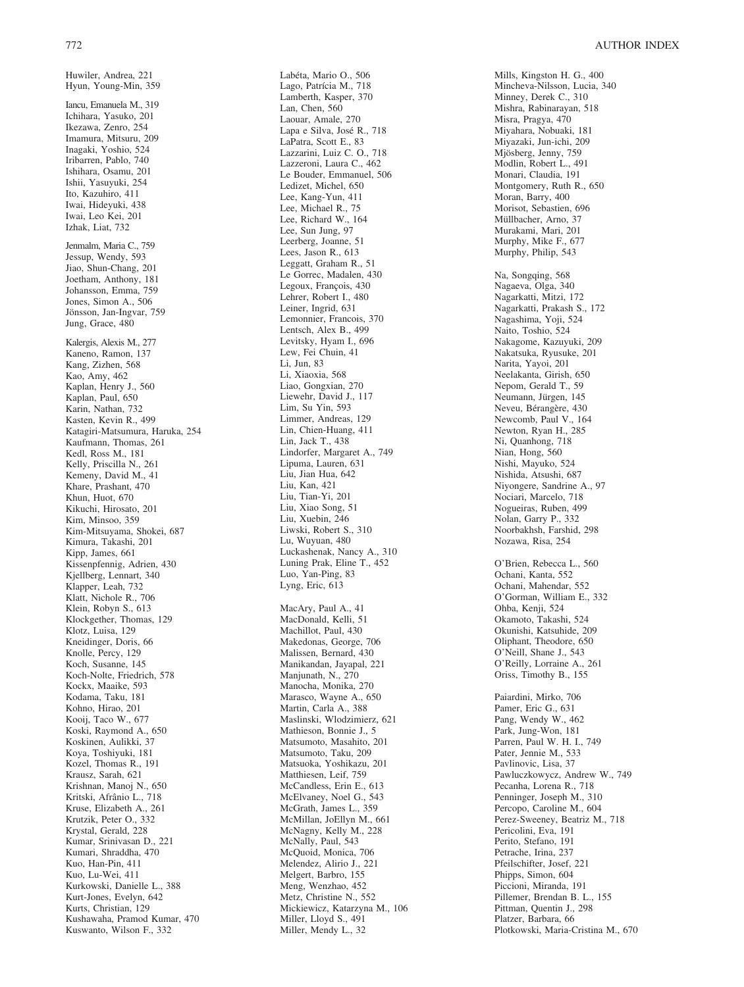Huwiler, Andrea, 221

Hyun, Young-Min, 359 Iancu, Emanuela M., 319 Ichihara, Yasuko, 201 Ikezawa, Zenro, 254 Imamura, Mitsuru, 209 Inagaki, Yoshio, 524 Iribarren, Pablo, 740 Ishihara, Osamu, 201 Ishii, Yasuyuki, 254 Ito, Kazuhiro, 411 Iwai, Hideyuki, 438 Iwai, Leo Kei, 201 Izhak, Liat, 732 Jenmalm, Maria C., 759 Jessup, Wendy, 593 Jiao, Shun-Chang, 201 Joetham, Anthony, 181 Johansson, Emma, 759 Jones, Simon A., 506 Jönsson, Jan-Ingvar, 759 Jung, Grace, 480 Kalergis, Alexis M., 277 Kaneno, Ramon, 137 Kang, Zizhen, 568 Kao, Amy, 462 Kaplan, Henry J., 560 Kaplan, Paul, 650 Karin, Nathan, 732 Kasten, Kevin R., 499 Katagiri-Matsumura, Haruka, 254 Kaufmann, Thomas, 261 Kedl, Ross M., 181 Kelly, Priscilla N., 261 Kemeny, David M., 41 Khare, Prashant, 470 Khun, Huot, 670 Kikuchi, Hirosato, 201 Kim, Minsoo, 359 Kim-Mitsuyama, Shokei, 687 Kimura, Takashi, 201 Kipp, James, 661 Kissenpfennig, Adrien, 430 Kjellberg, Lennart, 340 Klapper, Leah, 732 Klatt, Nichole R., 706 Klein, Robyn S., 613 Klockgether, Thomas, 129 Klotz, Luisa, 129 Kneidinger, Doris, 66 Knolle, Percy, 129 Koch, Susanne, 145 Koch-Nolte, Friedrich, 578 Kockx, Maaike, 593 Kodama, Taku, 181 Kohno, Hirao, 201 Kooij, Taco W., 677 Koski, Raymond A., 650 Koskinen, Aulikki, 37 Koya, Toshiyuki, 181 Kozel, Thomas R., 191 Krausz, Sarah, 621 Krishnan, Manoj N., 650 Kritski, Afrânio L., 718 Kruse, Elizabeth A., 261 Krutzik, Peter O., 332 Krystal, Gerald, 228 Kumar, Srinivasan D., 221 Kumari, Shraddha, 470 Kuo, Han-Pin, 411 Kuo, Lu-Wei, 411 Kurkowski, Danielle L., 388 Kurt-Jones, Evelyn, 642 Kurts, Christian, 129 Kushawaha, Pramod Kumar, 470 Kuswanto, Wilson F., 332

Lamberth, Kasper, 370 Lan, Chen, 560 Laouar, Amale, 270 Lapa e Silva, José R., 718 LaPatra, Scott E., 83 Lazzarini, Luiz C. O., 718 Lazzeroni, Laura C., 462 Le Bouder, Emmanuel, 506 Ledizet, Michel, 650 Lee, Kang-Yun, 411 Lee, Michael R., 75 Lee, Richard W., 164 Lee, Sun Jung, 97 Leerberg, Joanne, 51 Lees, Jason R., 613 Leggatt, Graham R., 51 Le Gorrec, Madalen, 430 Legoux, François, 430 Lehrer, Robert I., 480 Leiner, Ingrid, 631 Lemonnier, Francois, 370 Lentsch, Alex B., 499 Levitsky, Hyam I., 696 Lew, Fei Chuin, 41 Li, Jun, 83 Li, Xiaoxia, 568 Liao, Gongxian, 270 Liewehr, David J., 117 Lim, Su Yin, 593 Limmer, Andreas, 129 Lin, Chien-Huang, 411 Lin, Jack T., 438 Lindorfer, Margaret A., 749 Lipuma, Lauren, 631 Liu, Jian Hua, 642 Liu, Kan, 421 Liu, Tian-Yi, 201 Liu, Xiao Song, 51 Liu, Xuebin, 246 Liwski, Robert S., 310 Lu, Wuyuan, 480 Luckashenak, Nancy A., 310 Luning Prak, Eline T., 452 Luo, Yan-Ping, 83 Lyng, Eric, 613 MacAry, Paul A., 41 MacDonald, Kelli, 51 Machillot, Paul, 430 Makedonas, George, 706 Malissen, Bernard, 430 Manikandan, Jayapal, 221 Manjunath, N., 270 Manocha, Monika, 270 Marasco, Wayne A., 650 Martin, Carla A., 388 Maslinski, Wlodzimierz, 621 Mathieson, Bonnie J., 5 Matsumoto, Masahito, 201 Matsumoto, Taku, 209 Matsuoka, Yoshikazu, 201 Matthiesen, Leif, 759 McCandless, Erin E., 613 McElvaney, Noel G., 543 McGrath, James L., 359 McMillan, JoEllyn M., 661 McNagny, Kelly M., 228 McNally, Paul, 543 McQuoid, Monica, 706 Melendez, Alirio J., 221 Melgert, Barbro, 155 Meng, Wenzhao, 452 Metz, Christine N., 552 Mickiewicz, Katarzyna M., 106 Miller, Lloyd S., 491 Miller, Mendy L., 32

Labéta, Mario O., 506 Lago, Patrícia M., 718

Mills, Kingston H. G., 400 Mincheva-Nilsson, Lucia, 340 Minney, Derek C., 310 Mishra, Rabinarayan, 518 Misra, Pragya, 470 Miyahara, Nobuaki, 181 Miyazaki, Jun-ichi, 209 Mjösberg, Jenny, 759 Modlin, Robert L., 491 Monari, Claudia, 191 Montgomery, Ruth R., 650 Moran, Barry, 400 Morisot, Sebastien, 696 Müllbacher, Arno, 37 Murakami, Mari, 201 Murphy, Mike F., 677 Murphy, Philip, 543 Na, Songqing, 568 Nagaeva, Olga, 340 Nagarkatti, Mitzi, 172 Nagarkatti, Prakash S., 172 Nagashima, Yoji, 524 Naito, Toshio, 524 Nakagome, Kazuyuki, 209 Nakatsuka, Ryusuke, 201 Narita, Yayoi, 201 Neelakanta, Girish, 650 Nepom, Gerald T., 59 Neumann, Jürgen, 145 Neveu, Bérangère, 430 Newcomb, Paul V., 164 Newton, Ryan H., 285 Ni, Quanhong, 718 Nian, Hong, 560 Nishi, Mayuko, 524 Nishida, Atsushi, 687 Niyongere, Sandrine A., 97 Nociari, Marcelo, 718 Nogueiras, Ruben, 499 Nolan, Garry P., 332 Noorbakhsh, Farshid, 298 Nozawa, Risa, 254 O'Brien, Rebecca L., 560 Ochani, Kanta, 552 Ochani, Mahendar, 552 O'Gorman, William E., 332 Ohba, Kenji, 524 Okamoto, Takashi, 524 Okunishi, Katsuhide, 209 Oliphant, Theodore, 650 O'Neill, Shane J., 543 O'Reilly, Lorraine A., 261 Oriss, Timothy B., 155 Paiardini, Mirko, 706 Pamer, Eric G., 631 Pang, Wendy W., 462 Park, Jung-Won, 181 Parren, Paul W. H. I., 749 Pater, Jennie M., 533 Pavlinovic, Lisa, 37 Pawluczkowycz, Andrew W., 749 Pecanha, Lorena R., 718 Penninger, Joseph M., 310 Percopo, Caroline M., 604 Perez-Sweeney, Beatriz M., 718 Pericolini, Eva, 191 Perito, Stefano, 191 Petrache, Irina, 237 Pfeilschifter, Josef, 221 Phipps, Simon, 604 Piccioni, Miranda, 191 Pillemer, Brendan B. L., 155 Pittman, Quentin J., 298 Platzer, Barbara, 66

Plotkowski, Maria-Cristina M., 670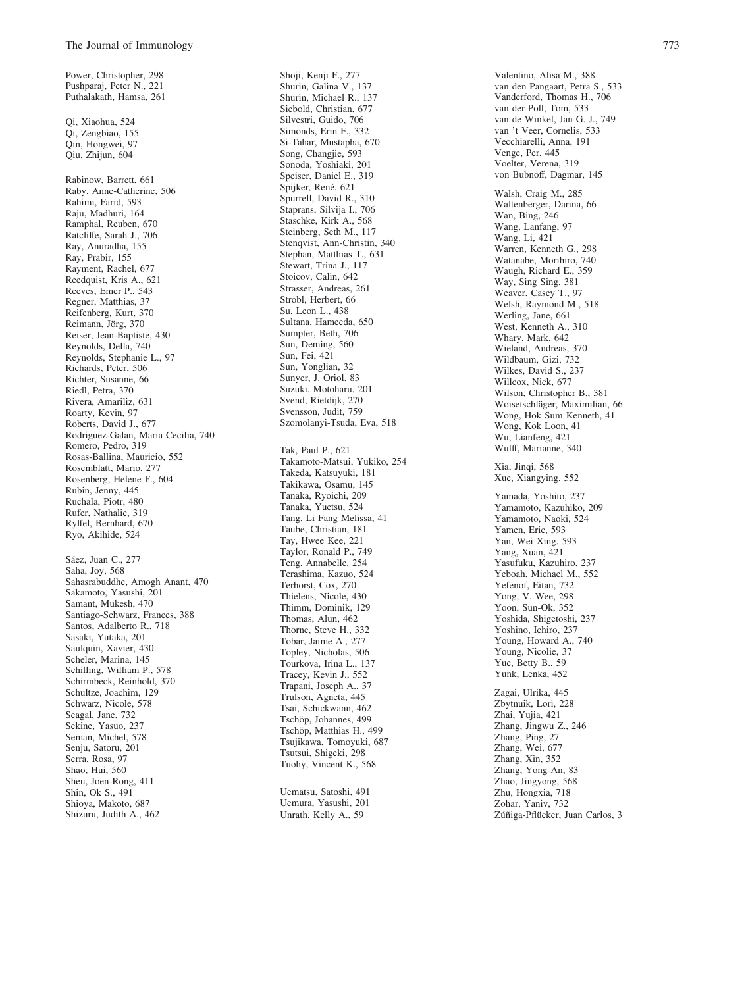Power, Christopher, 298

Pushparaj, Peter N., 221 Puthalakath, Hamsa, 261 Qi, Xiaohua, 524 Qi, Zengbiao, 155 Qin, Hongwei, 97 Qiu, Zhijun, 604 Rabinow, Barrett, 661 Raby, Anne-Catherine, 506 Rahimi, Farid, 593 Raju, Madhuri, 164 Ramphal, Reuben, 670 Ratcliffe, Sarah J., 706 Ray, Anuradha, 155 Ray, Prabir, 155 Rayment, Rachel, 677 Reedquist, Kris A., 621 Reeves, Emer P., 543 Regner, Matthias, 37 Reifenberg, Kurt, 370 Reimann, Jörg, 370 Reiser, Jean-Baptiste, 430 Reynolds, Della, 740 Reynolds, Stephanie L., 97 Richards, Peter, 506 Richter, Susanne, 66 Riedl, Petra, 370 Rivera, Amariliz, 631 Roarty, Kevin, 97 Roberts, David J., 677 Rodriguez-Galan, Maria Cecilia, 740 Romero, Pedro, 319 Rosas-Ballina, Mauricio, 552 Rosemblatt, Mario, 277 Rosenberg, Helene F., 604 Rubin, Jenny, 445 Ruchala, Piotr, 480 Rufer, Nathalie, 319 Ryffel, Bernhard, 670 Ryo, Akihide, 524

Sáez, Juan C., 277 Saha, Joy, 568 Sahasrabuddhe, Amogh Anant, 470 Sakamoto, Yasushi, 201 Samant, Mukesh, 470 Santiago-Schwarz, Frances, 388 Santos, Adalberto R., 718 Sasaki, Yutaka, 201 Saulquin, Xavier, 430 Scheler, Marina, 145 Schilling, William P., 578 Schirmbeck, Reinhold, 370 Schultze, Joachim, 129 Schwarz, Nicole, 578 Seagal, Jane, 732 Sekine, Yasuo, 237 Seman, Michel, 578 Senju, Satoru, 201 Serra, Rosa, 97 Shao, Hui, 560 Sheu, Joen-Rong, 411 Shin, Ok S., 491 Shioya, Makoto, 687 Shizuru, Judith A., 462

Shoji, Kenji F., 277 Shurin, Galina V., 137 Shurin, Michael R., 137 Siebold, Christian, 677 Silvestri, Guido, 706 Simonds, Erin F., 332 Si-Tahar, Mustapha, 670 Song, Changjie, 593 Sonoda, Yoshiaki, 201 Speiser, Daniel E., 319 Spijker, René, 621 Spurrell, David R., 310 Staprans, Silvija I., 706 Staschke, Kirk A., 568 Steinberg, Seth M., 117 Stenqvist, Ann-Christin, 340 Stephan, Matthias T., 631 Stewart, Trina J., 117 Stoicov, Calin, 642 Strasser, Andreas, 261 Strobl, Herbert, 66 Su, Leon L., 438 Sultana, Hameeda, 650 Sumpter, Beth, 706 Sun, Deming, 560 Sun, Fei, 421 Sun, Yonglian, 32 Sunyer, J. Oriol, 83 Suzuki, Motoharu, 201 Svend, Rietdijk, 270 Svensson, Judit, 759 Szomolanyi-Tsuda, Eva, 518 Tak, Paul P., 621 Takamoto-Matsui, Yukiko, 254 Takeda, Katsuyuki, 181 Takikawa, Osamu, 145 Tanaka, Ryoichi, 209 Tanaka, Yuetsu, 524 Tang, Li Fang Melissa, 41 Taube, Christian, 181 Tay, Hwee Kee, 221 Taylor, Ronald P., 749 Teng, Annabelle, 254 Terashima, Kazuo, 524 Terhorst, Cox, 270 Thielens, Nicole, 430 Thimm, Dominik, 129 Thomas, Alun, 462 Thorne, Steve H., 332 Tobar, Jaime A., 277 Topley, Nicholas, 506 Tourkova, Irina L., 137 Tracey, Kevin J., 552 Trapani, Joseph A., 37 Trulson, Agneta, 445 Tsai, Schickwann, 462 Tschöp, Johannes, 499 Tschöp, Matthias H., 499 Tsujikawa, Tomoyuki, 687 Tsutsui, Shigeki, 298 Tuohy, Vincent K., 568

Uematsu, Satoshi, 491 Uemura, Yasushi, 201 Unrath, Kelly A., 59

Valentino, Alisa M., 388 van den Pangaart, Petra S., 533 Vanderford, Thomas H., 706 van der Poll, Tom, 533 van de Winkel, Jan G. J., 749 van 't Veer, Cornelis, 533 Vecchiarelli, Anna, 191 Venge, Per, 445 Voelter, Verena, 319 von Bubnoff, Dagmar, 145 Walsh, Craig M., 285 Waltenberger, Darina, 66 Wan, Bing, 246 Wang, Lanfang, 97 Wang, Li, 421 Warren, Kenneth G., 298 Watanabe, Morihiro, 740 Waugh, Richard E., 359 Way, Sing Sing, 381 Weaver, Casey T., 97 Welsh, Raymond M., 518 Werling, Jane, 661 West, Kenneth A., 310 Whary, Mark, 642 Wieland, Andreas, 370 Wildbaum, Gizi, 732 Wilkes, David S., 237 Willcox, Nick, 677 Wilson, Christopher B., 381 Woisetschläger, Maximilian, 66 Wong, Hok Sum Kenneth, 41 Wong, Kok Loon, 41 Wu, Lianfeng, 421 Wulff, Marianne, 340 Xia, Jinqi, 568 Xue, Xiangying, 552 Yamada, Yoshito, 237 Yamamoto, Kazuhiko, 209 Yamamoto, Naoki, 524 Yamen, Eric, 593 Yan, Wei Xing, 593 Yang, Xuan, 421 Yasufuku, Kazuhiro, 237 Yeboah, Michael M., 552 Yefenof, Eitan, 732 Yong, V. Wee, 298 Yoon, Sun-Ok, 352 Yoshida, Shigetoshi, 237 Yoshino, Ichiro, 237 Young, Howard A., 740 Young, Nicolie, 37 Yue, Betty B., 59 Yunk, Lenka, 452 Zagai, Ulrika, 445 Zbytnuik, Lori, 228 Zhai, Yujia, 421 Zhang, Jingwu Z., 246 Zhang, Ping, 27 Zhang, Wei, 677 Zhang, Xin, 352 Zhang, Yong-An, 83 Zhao, Jingyong, 568 Zhu, Hongxia, 718

Zohar, Yaniv, 732

Zúñiga-Pflücker, Juan Carlos, 3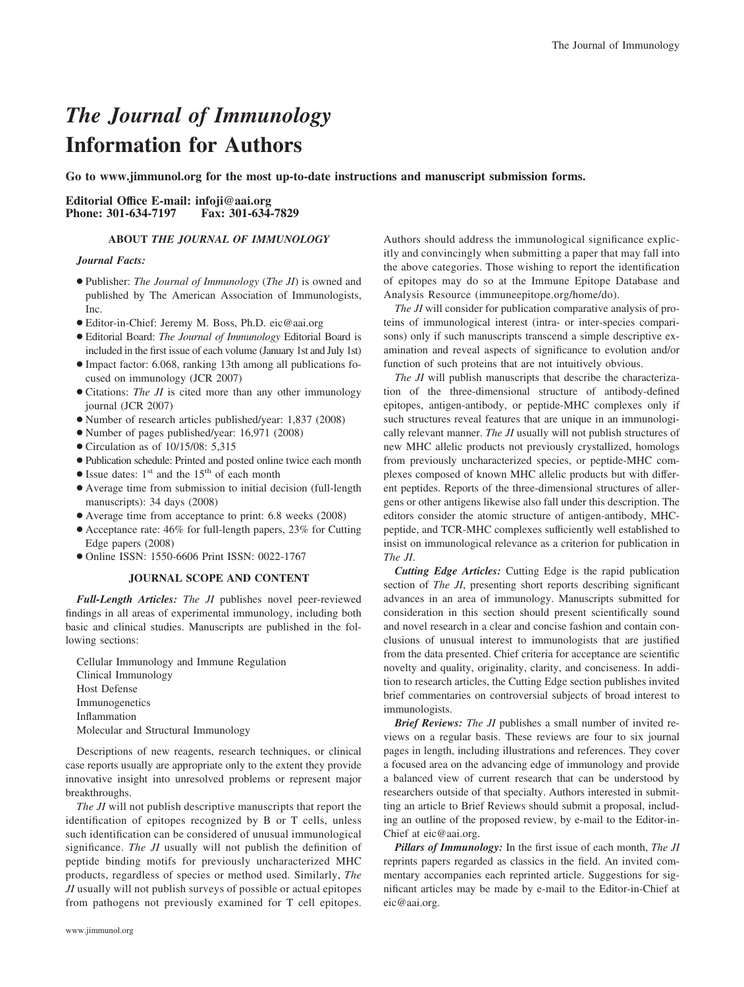## *The Journal of Immunology* **Information for Authors**

**Go to www.jimmunol.org for the most up-to-date instructions and manuscript submission forms.**

#### **Editorial Office E-mail: infoji@aai.org** Phone: 301-634-7197

#### **ABOUT** *THE JOURNAL OF IMMUNOLOGY*

#### *Journal Facts:*

- Publisher: *The Journal of Immunology* (*The JI*) is owned and published by The American Association of Immunologists, Inc.
- Editor-in-Chief: Jeremy M. Boss, Ph.D. eic@aai.org
- Editorial Board: *The Journal of Immunology* Editorial Board is included in the first issue of each volume (January 1st and July 1st)
- Impact factor: 6.068, ranking 13th among all publications focused on immunology (JCR 2007)
- Citations: *The JI* is cited more than any other immunology journal (JCR 2007)
- Number of research articles published/year: 1,837 (2008)
- Number of pages published/year: 16,971 (2008)
- Circulation as of 10/15/08: 5,315
- Publication schedule: Printed and posted online twice each month
- $\bullet$  Issue dates: 1<sup>st</sup> and the 15<sup>th</sup> of each month
- Average time from submission to initial decision (full-length manuscripts): 34 days (2008)
- Average time from acceptance to print: 6.8 weeks (2008)
- Acceptance rate: 46% for full-length papers, 23% for Cutting Edge papers (2008)
- Online ISSN: 1550-6606 Print ISSN: 0022-1767

#### **JOURNAL SCOPE AND CONTENT**

*Full-Length Articles: The JI* publishes novel peer-reviewed findings in all areas of experimental immunology, including both basic and clinical studies. Manuscripts are published in the following sections:

Cellular Immunology and Immune Regulation Clinical Immunology Host Defense Immunogenetics Inflammation Molecular and Structural Immunology

Descriptions of new reagents, research techniques, or clinical case reports usually are appropriate only to the extent they provide innovative insight into unresolved problems or represent major breakthroughs.

*The JI* will not publish descriptive manuscripts that report the identification of epitopes recognized by B or T cells, unless such identification can be considered of unusual immunological significance. *The JI* usually will not publish the definition of peptide binding motifs for previously uncharacterized MHC products, regardless of species or method used. Similarly, *The JI* usually will not publish surveys of possible or actual epitopes from pathogens not previously examined for T cell epitopes.

Authors should address the immunological significance explicitly and convincingly when submitting a paper that may fall into the above categories. Those wishing to report the identification of epitopes may do so at the Immune Epitope Database and Analysis Resource (immuneepitope.org/home/do).

*The JI* will consider for publication comparative analysis of proteins of immunological interest (intra- or inter-species comparisons) only if such manuscripts transcend a simple descriptive examination and reveal aspects of significance to evolution and/or function of such proteins that are not intuitively obvious.

*The JI* will publish manuscripts that describe the characterization of the three-dimensional structure of antibody-defined epitopes, antigen-antibody, or peptide-MHC complexes only if such structures reveal features that are unique in an immunologically relevant manner. *The JI* usually will not publish structures of new MHC allelic products not previously crystallized, homologs from previously uncharacterized species, or peptide-MHC complexes composed of known MHC allelic products but with different peptides. Reports of the three-dimensional structures of allergens or other antigens likewise also fall under this description. The editors consider the atomic structure of antigen-antibody, MHCpeptide, and TCR-MHC complexes sufficiently well established to insist on immunological relevance as a criterion for publication in *The JI*.

*Cutting Edge Articles:* Cutting Edge is the rapid publication section of *The JI*, presenting short reports describing significant advances in an area of immunology. Manuscripts submitted for consideration in this section should present scientifically sound and novel research in a clear and concise fashion and contain conclusions of unusual interest to immunologists that are justified from the data presented. Chief criteria for acceptance are scientific novelty and quality, originality, clarity, and conciseness. In addition to research articles, the Cutting Edge section publishes invited brief commentaries on controversial subjects of broad interest to immunologists.

*Brief Reviews: The JI* publishes a small number of invited reviews on a regular basis. These reviews are four to six journal pages in length, including illustrations and references. They cover a focused area on the advancing edge of immunology and provide a balanced view of current research that can be understood by researchers outside of that specialty. Authors interested in submitting an article to Brief Reviews should submit a proposal, including an outline of the proposed review, by e-mail to the Editor-in-Chief at eic@aai.org.

*Pillars of Immunology:* In the first issue of each month, *The JI* reprints papers regarded as classics in the field. An invited commentary accompanies each reprinted article. Suggestions for significant articles may be made by e-mail to the Editor-in-Chief at eic@aai.org.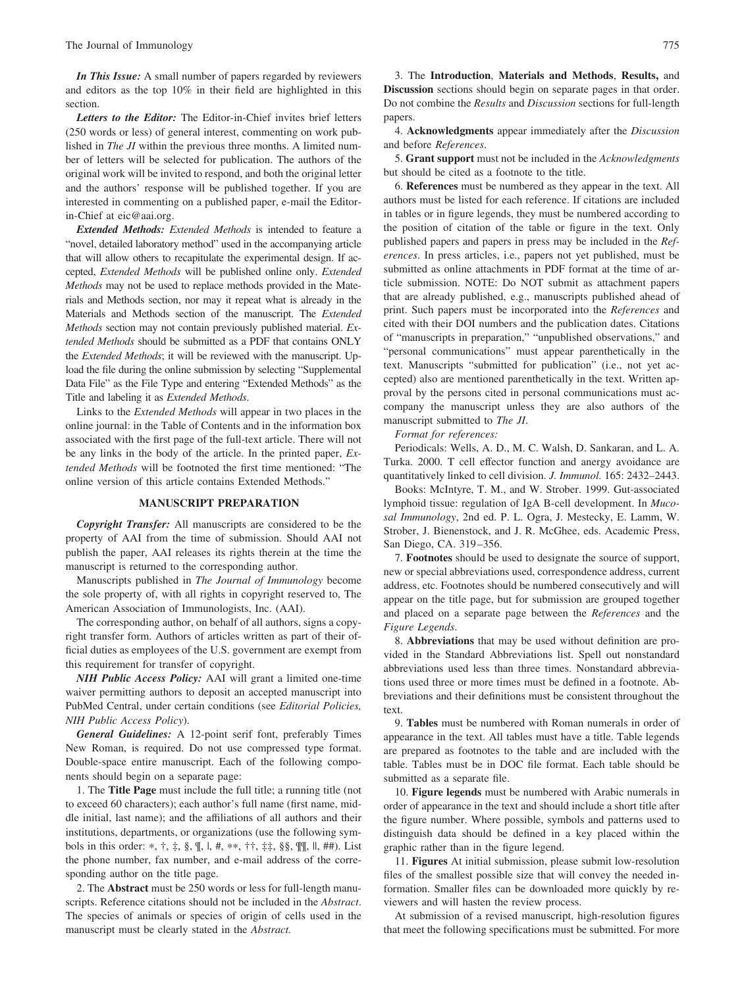*In This Issue:* A small number of papers regarded by reviewers and editors as the top 10% in their field are highlighted in this section.

*Letters to the Editor:* The Editor-in-Chief invites brief letters (250 words or less) of general interest, commenting on work published in *The JI* within the previous three months. A limited number of letters will be selected for publication. The authors of the original work will be invited to respond, and both the original letter and the authors' response will be published together. If you are interested in commenting on a published paper, e-mail the Editorin-Chief at eic@aai.org.

*Extended Methods: Extended Methods* is intended to feature a "novel, detailed laboratory method" used in the accompanying article that will allow others to recapitulate the experimental design. If accepted, *Extended Methods* will be published online only. *Extended Methods* may not be used to replace methods provided in the Materials and Methods section, nor may it repeat what is already in the Materials and Methods section of the manuscript. The *Extended Methods* section may not contain previously published material. *Extended Methods* should be submitted as a PDF that contains ONLY the *Extended Methods*; it will be reviewed with the manuscript. Upload the file during the online submission by selecting "Supplemental Data File" as the File Type and entering "Extended Methods" as the Title and labeling it as *Extended Methods*.

Links to the *Extended Methods* will appear in two places in the online journal: in the Table of Contents and in the information box associated with the first page of the full-text article. There will not be any links in the body of the article. In the printed paper, *Extended Methods* will be footnoted the first time mentioned: "The online version of this article contains Extended Methods."

#### **MANUSCRIPT PREPARATION**

*Copyright Transfer:* All manuscripts are considered to be the property of AAI from the time of submission. Should AAI not publish the paper, AAI releases its rights therein at the time the manuscript is returned to the corresponding author.

Manuscripts published in *The Journal of Immunology* become the sole property of, with all rights in copyright reserved to, The American Association of Immunologists, Inc. (AAI).

The corresponding author, on behalf of all authors, signs a copyright transfer form. Authors of articles written as part of their official duties as employees of the U.S. government are exempt from this requirement for transfer of copyright.

*NIH Public Access Policy:* AAI will grant a limited one-time waiver permitting authors to deposit an accepted manuscript into PubMed Central, under certain conditions (see *Editorial Policies, NIH Public Access Policy*).

*General Guidelines:* A 12-point serif font, preferably Times New Roman, is required. Do not use compressed type format. Double-space entire manuscript. Each of the following components should begin on a separate page:

1. The **Title Page** must include the full title; a running title (not to exceed 60 characters); each author's full name (first name, middle initial, last name); and the affiliations of all authors and their institutions, departments, or organizations (use the following symbols in this order: \*,  $\dagger$ ,  $\dagger$ ,  $\S$ ,  $\P$ ,  $\P$ ,  $H$ , \*\*,  $\dagger \dagger$ ,  $\dagger \dagger$ ,  $\S$  $\S$ ,  $\P$  $\P$ ,  $\P$ ,  $H$  $H$  $)$ . List the phone number, fax number, and e-mail address of the corresponding author on the title page.

2. The **Abstract** must be 250 words or less for full-length manuscripts. Reference citations should not be included in the *Abstract*. The species of animals or species of origin of cells used in the manuscript must be clearly stated in the *Abstract.*

3. The **Introduction**, **Materials and Methods**, **Results,** and **Discussion** sections should begin on separate pages in that order. Do not combine the *Results* and *Discussion* sections for full-length papers.

4. **Acknowledgments** appear immediately after the *Discussion* and before *References*.

5. **Grant support** must not be included in the *Acknowledgments* but should be cited as a footnote to the title.

6. **References** must be numbered as they appear in the text. All authors must be listed for each reference. If citations are included in tables or in figure legends, they must be numbered according to the position of citation of the table or figure in the text. Only published papers and papers in press may be included in the *References*. In press articles, i.e., papers not yet published, must be submitted as online attachments in PDF format at the time of article submission. NOTE: Do NOT submit as attachment papers that are already published, e.g., manuscripts published ahead of print. Such papers must be incorporated into the *References* and cited with their DOI numbers and the publication dates. Citations of "manuscripts in preparation," "unpublished observations," and "personal communications" must appear parenthetically in the text. Manuscripts "submitted for publication" (i.e., not yet accepted) also are mentioned parenthetically in the text. Written approval by the persons cited in personal communications must accompany the manuscript unless they are also authors of the manuscript submitted to *The JI*.

#### *Format for references:*

Periodicals: Wells, A. D., M. C. Walsh, D. Sankaran, and L. A. Turka. 2000. T cell effector function and anergy avoidance are quantitatively linked to cell division. *J. Immunol.* 165: 2432–2443.

Books: McIntyre, T. M., and W. Strober. 1999. Gut-associated lymphoid tissue: regulation of IgA B-cell development. In *Mucosal Immunology*, 2nd ed. P. L. Ogra, J. Mestecky, E. Lamm, W. Strober, J. Bienenstock, and J. R. McGhee, eds. Academic Press, San Diego, CA. 319 –356.

7. **Footnotes** should be used to designate the source of support, new or special abbreviations used, correspondence address, current address, etc. Footnotes should be numbered consecutively and will appear on the title page, but for submission are grouped together and placed on a separate page between the *References* and the *Figure Legends*.

8. **Abbreviations** that may be used without definition are provided in the Standard Abbreviations list. Spell out nonstandard abbreviations used less than three times. Nonstandard abbreviations used three or more times must be defined in a footnote. Abbreviations and their definitions must be consistent throughout the text.

9. **Tables** must be numbered with Roman numerals in order of appearance in the text. All tables must have a title. Table legends are prepared as footnotes to the table and are included with the table. Tables must be in DOC file format. Each table should be submitted as a separate file.

10. **Figure legends** must be numbered with Arabic numerals in order of appearance in the text and should include a short title after the figure number. Where possible, symbols and patterns used to distinguish data should be defined in a key placed within the graphic rather than in the figure legend.

11. **Figures** At initial submission, please submit low-resolution files of the smallest possible size that will convey the needed information. Smaller files can be downloaded more quickly by reviewers and will hasten the review process.

At submission of a revised manuscript, high-resolution figures that meet the following specifications must be submitted. For more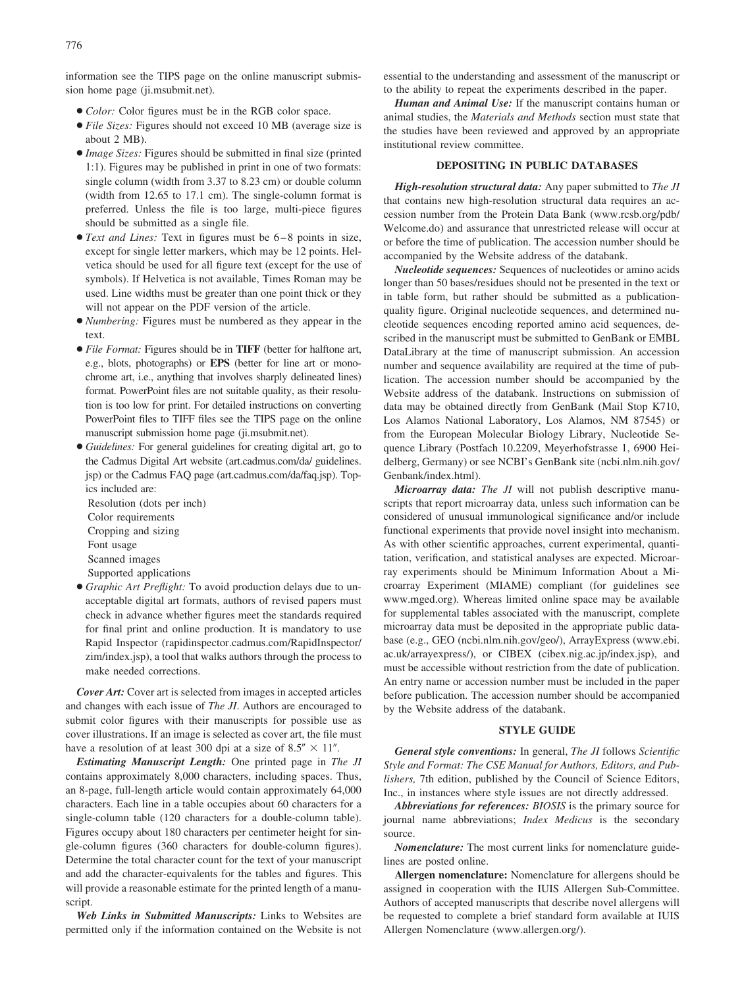information see the TIPS page on the online manuscript submission home page (ji.msubmit.net).

- *Color:* Color figures must be in the RGB color space.
- *File Sizes:* Figures should not exceed 10 MB (average size is about 2 MB).
- *Image Sizes:* Figures should be submitted in final size (printed 1:1). Figures may be published in print in one of two formats: single column (width from 3.37 to 8.23 cm) or double column (width from 12.65 to 17.1 cm). The single-column format is preferred. Unless the file is too large, multi-piece figures should be submitted as a single file.
- *Text and Lines:* Text in figures must be 6 8 points in size, except for single letter markers, which may be 12 points. Helvetica should be used for all figure text (except for the use of symbols). If Helvetica is not available, Times Roman may be used. Line widths must be greater than one point thick or they will not appear on the PDF version of the article.
- *Numbering:* Figures must be numbered as they appear in the text.
- *File Format:* Figures should be in **TIFF** (better for halftone art, e.g., blots, photographs) or **EPS** (better for line art or monochrome art, i.e., anything that involves sharply delineated lines) format. PowerPoint files are not suitable quality, as their resolution is too low for print. For detailed instructions on converting PowerPoint files to TIFF files see the TIPS page on the online manuscript submission home page (ji.msubmit.net).
- *Guidelines:* For general guidelines for creating digital art, go to the Cadmus Digital Art website (art.cadmus.com/da/ guidelines. jsp) or the Cadmus FAQ page (art.cadmus.com/da/faq.jsp). Topics included are:

Resolution (dots per inch) Color requirements Cropping and sizing Font usage Scanned images Supported applications

● *Graphic Art Preflight:* To avoid production delays due to unacceptable digital art formats, authors of revised papers must check in advance whether figures meet the standards required for final print and online production. It is mandatory to use Rapid Inspector (rapidinspector.cadmus.com/RapidInspector/ zim/index.jsp), a tool that walks authors through the process to make needed corrections.

*Cover Art:* Cover art is selected from images in accepted articles and changes with each issue of *The JI*. Authors are encouraged to submit color figures with their manuscripts for possible use as cover illustrations. If an image is selected as cover art, the file must have a resolution of at least 300 dpi at a size of  $8.5'' \times 11''$ .

*Estimating Manuscript Length:* One printed page in *The JI* contains approximately 8,000 characters, including spaces. Thus, an 8-page, full-length article would contain approximately 64,000 characters. Each line in a table occupies about 60 characters for a single-column table (120 characters for a double-column table). Figures occupy about 180 characters per centimeter height for single-column figures (360 characters for double-column figures). Determine the total character count for the text of your manuscript and add the character-equivalents for the tables and figures. This will provide a reasonable estimate for the printed length of a manuscript.

*Web Links in Submitted Manuscripts:* Links to Websites are permitted only if the information contained on the Website is not

essential to the understanding and assessment of the manuscript or to the ability to repeat the experiments described in the paper.

*Human and Animal Use:* If the manuscript contains human or animal studies, the *Materials and Methods* section must state that the studies have been reviewed and approved by an appropriate institutional review committee.

#### **DEPOSITING IN PUBLIC DATABASES**

*High-resolution structural data:* Any paper submitted to *The JI* that contains new high-resolution structural data requires an accession number from the Protein Data Bank (www.rcsb.org/pdb/ Welcome.do) and assurance that unrestricted release will occur at or before the time of publication. The accession number should be accompanied by the Website address of the databank.

*Nucleotide sequences:* Sequences of nucleotides or amino acids longer than 50 bases/residues should not be presented in the text or in table form, but rather should be submitted as a publicationquality figure. Original nucleotide sequences, and determined nucleotide sequences encoding reported amino acid sequences, described in the manuscript must be submitted to GenBank or EMBL DataLibrary at the time of manuscript submission. An accession number and sequence availability are required at the time of publication. The accession number should be accompanied by the Website address of the databank. Instructions on submission of data may be obtained directly from GenBank (Mail Stop K710, Los Alamos National Laboratory, Los Alamos, NM 87545) or from the European Molecular Biology Library, Nucleotide Sequence Library (Postfach 10.2209, Meyerhofstrasse 1, 6900 Heidelberg, Germany) or see NCBI's GenBank site (ncbi.nlm.nih.gov/ Genbank/index.html).

*Microarray data: The JI* will not publish descriptive manuscripts that report microarray data, unless such information can be considered of unusual immunological significance and/or include functional experiments that provide novel insight into mechanism. As with other scientific approaches, current experimental, quantitation, verification, and statistical analyses are expected. Microarray experiments should be Minimum Information About a Microarray Experiment (MIAME) compliant (for guidelines see www.mged.org). Whereas limited online space may be available for supplemental tables associated with the manuscript, complete microarray data must be deposited in the appropriate public database (e.g., GEO (ncbi.nlm.nih.gov/geo/), ArrayExpress (www.ebi. ac.uk/arrayexpress/), or CIBEX (cibex.nig.ac.jp/index.jsp), and must be accessible without restriction from the date of publication. An entry name or accession number must be included in the paper before publication. The accession number should be accompanied by the Website address of the databank.

#### **STYLE GUIDE**

*General style conventions:* In general, *The JI* follows *Scientific Style and Format: The CSE Manual for Authors, Editors, and Publishers,* 7th edition, published by the Council of Science Editors, Inc., in instances where style issues are not directly addressed.

*Abbreviations for references: BIOSIS* is the primary source for journal name abbreviations; *Index Medicus* is the secondary source.

*Nomenclature:* The most current links for nomenclature guidelines are posted online.

**Allergen nomenclature:** Nomenclature for allergens should be assigned in cooperation with the IUIS Allergen Sub-Committee. Authors of accepted manuscripts that describe novel allergens will be requested to complete a brief standard form available at IUIS Allergen Nomenclature (www.allergen.org/).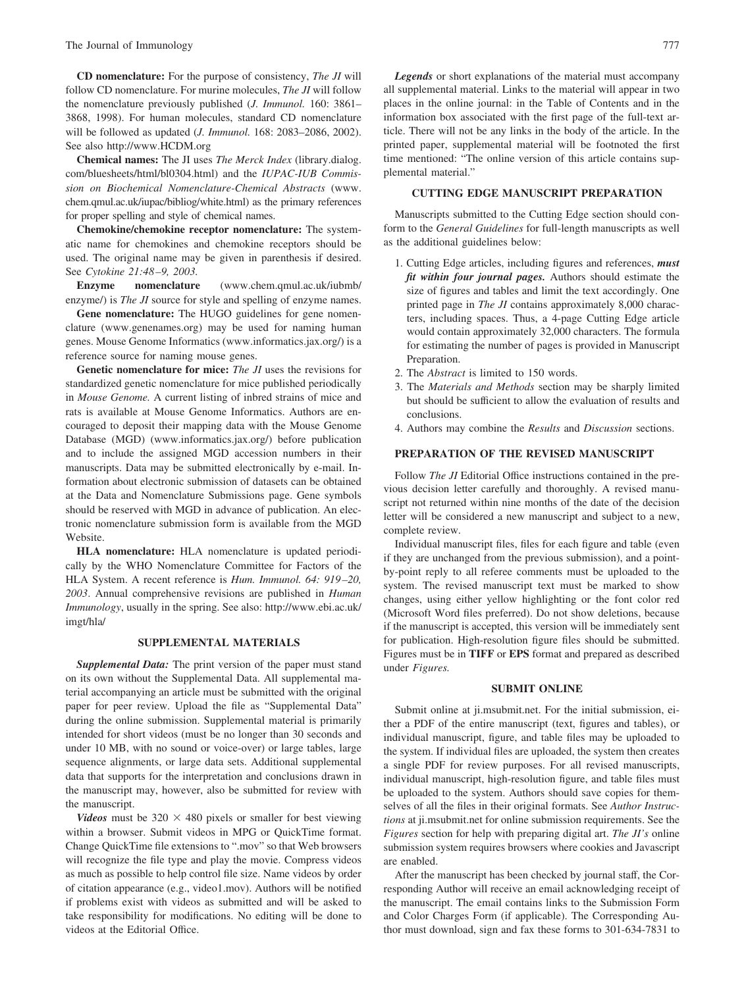**CD nomenclature:** For the purpose of consistency, *The JI* will follow CD nomenclature. For murine molecules, *The JI* will follow the nomenclature previously published (*J. Immunol.* 160: 3861– 3868, 1998). For human molecules, standard CD nomenclature will be followed as updated (*J. Immunol.* 168: 2083–2086, 2002). See also http://www.HCDM.org

**Chemical names:** The JI uses *The Merck Index* (library.dialog. com/bluesheets/html/bl0304.html) and the *IUPAC-IUB Commission on Biochemical Nomenclature-Chemical Abstracts* (www. chem.qmul.ac.uk/iupac/bibliog/white.html) as the primary references for proper spelling and style of chemical names.

**Chemokine/chemokine receptor nomenclature:** The systematic name for chemokines and chemokine receptors should be used. The original name may be given in parenthesis if desired. See *Cytokine 21:48 –9, 2003.*

**Enzyme nomenclature** (www.chem.qmul.ac.uk/iubmb/ enzyme/) is *The JI* source for style and spelling of enzyme names.

**Gene nomenclature:** The HUGO guidelines for gene nomenclature (www.genenames.org) may be used for naming human genes. Mouse Genome Informatics (www.informatics.jax.org/) is a reference source for naming mouse genes.

**Genetic nomenclature for mice:** *The JI* uses the revisions for standardized genetic nomenclature for mice published periodically in *Mouse Genome.* A current listing of inbred strains of mice and rats is available at Mouse Genome Informatics. Authors are encouraged to deposit their mapping data with the Mouse Genome Database (MGD) (www.informatics.jax.org/) before publication and to include the assigned MGD accession numbers in their manuscripts. Data may be submitted electronically by e-mail. Information about electronic submission of datasets can be obtained at the Data and Nomenclature Submissions page. Gene symbols should be reserved with MGD in advance of publication. An electronic nomenclature submission form is available from the MGD Website.

**HLA nomenclature:** HLA nomenclature is updated periodically by the WHO Nomenclature Committee for Factors of the HLA System. A recent reference is *Hum. Immunol. 64: 919 –20, 2003*. Annual comprehensive revisions are published in *Human Immunology*, usually in the spring. See also: http://www.ebi.ac.uk/ imgt/hla/

#### **SUPPLEMENTAL MATERIALS**

*Supplemental Data:* The print version of the paper must stand on its own without the Supplemental Data. All supplemental material accompanying an article must be submitted with the original paper for peer review. Upload the file as "Supplemental Data" during the online submission. Supplemental material is primarily intended for short videos (must be no longer than 30 seconds and under 10 MB, with no sound or voice-over) or large tables, large sequence alignments, or large data sets. Additional supplemental data that supports for the interpretation and conclusions drawn in the manuscript may, however, also be submitted for review with the manuscript.

*Videos* must be  $320 \times 480$  pixels or smaller for best viewing within a browser. Submit videos in MPG or QuickTime format. Change QuickTime file extensions to ".mov" so that Web browsers will recognize the file type and play the movie. Compress videos as much as possible to help control file size. Name videos by order of citation appearance (e.g., video1.mov). Authors will be notified if problems exist with videos as submitted and will be asked to take responsibility for modifications. No editing will be done to videos at the Editorial Office.

*Legends* or short explanations of the material must accompany all supplemental material. Links to the material will appear in two places in the online journal: in the Table of Contents and in the information box associated with the first page of the full-text article. There will not be any links in the body of the article. In the printed paper, supplemental material will be footnoted the first time mentioned: "The online version of this article contains supplemental material."

#### **CUTTING EDGE MANUSCRIPT PREPARATION**

Manuscripts submitted to the Cutting Edge section should conform to the *General Guidelines* for full-length manuscripts as well as the additional guidelines below:

- 1. Cutting Edge articles, including figures and references, *must fit within four journal pages.* Authors should estimate the size of figures and tables and limit the text accordingly. One printed page in *The JI* contains approximately 8,000 characters, including spaces. Thus, a 4-page Cutting Edge article would contain approximately 32,000 characters. The formula for estimating the number of pages is provided in Manuscript Preparation.
- 2. The *Abstract* is limited to 150 words.
- 3. The *Materials and Methods* section may be sharply limited but should be sufficient to allow the evaluation of results and conclusions.
- 4. Authors may combine the *Results* and *Discussion* sections.

#### **PREPARATION OF THE REVISED MANUSCRIPT**

Follow *The JI* Editorial Office instructions contained in the previous decision letter carefully and thoroughly. A revised manuscript not returned within nine months of the date of the decision letter will be considered a new manuscript and subject to a new, complete review.

Individual manuscript files, files for each figure and table (even if they are unchanged from the previous submission), and a pointby-point reply to all referee comments must be uploaded to the system. The revised manuscript text must be marked to show changes, using either yellow highlighting or the font color red (Microsoft Word files preferred). Do not show deletions, because if the manuscript is accepted, this version will be immediately sent for publication. High-resolution figure files should be submitted. Figures must be in **TIFF** or **EPS** format and prepared as described under *Figures.*

#### **SUBMIT ONLINE**

Submit online at ji.msubmit.net. For the initial submission, either a PDF of the entire manuscript (text, figures and tables), or individual manuscript, figure, and table files may be uploaded to the system. If individual files are uploaded, the system then creates a single PDF for review purposes. For all revised manuscripts, individual manuscript, high-resolution figure, and table files must be uploaded to the system. Authors should save copies for themselves of all the files in their original formats. See *Author Instructions* at ji.msubmit.net for online submission requirements. See the *Figures* section for help with preparing digital art. *The JI's* online submission system requires browsers where cookies and Javascript are enabled.

After the manuscript has been checked by journal staff, the Corresponding Author will receive an email acknowledging receipt of the manuscript. The email contains links to the Submission Form and Color Charges Form (if applicable). The Corresponding Author must download, sign and fax these forms to 301-634-7831 to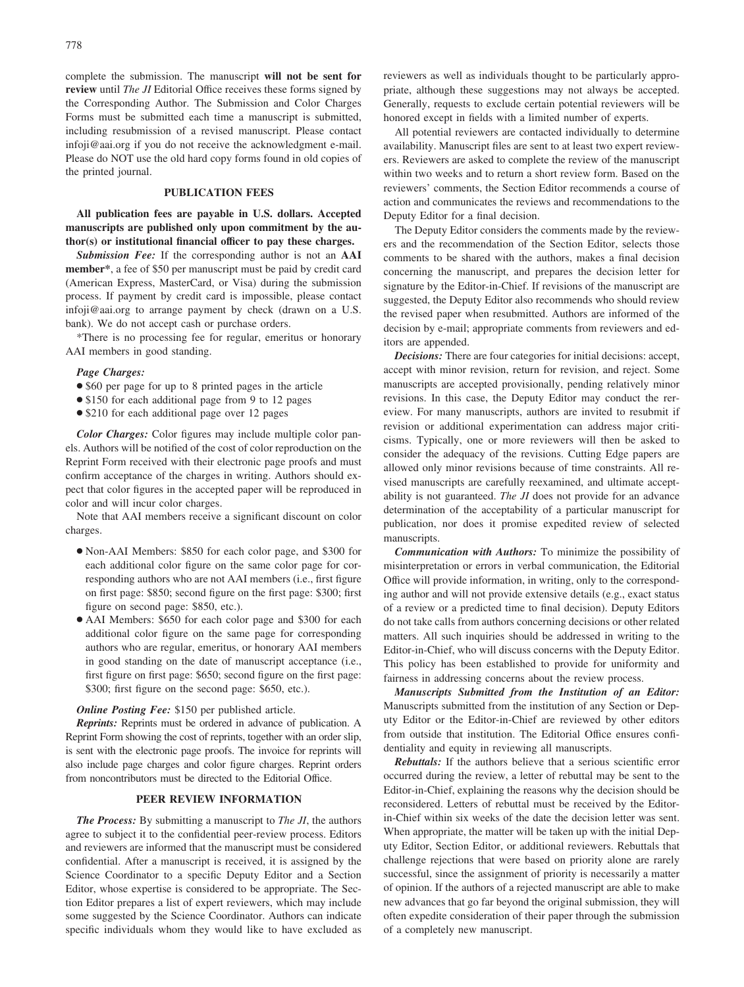complete the submission. The manuscript **will not be sent for review** until *The JI* Editorial Office receives these forms signed by the Corresponding Author. The Submission and Color Charges Forms must be submitted each time a manuscript is submitted, including resubmission of a revised manuscript. Please contact infoji@aai.org if you do not receive the acknowledgment e-mail. Please do NOT use the old hard copy forms found in old copies of the printed journal.

#### **PUBLICATION FEES**

**All publication fees are payable in U.S. dollars. Accepted manuscripts are published only upon commitment by the author(s) or institutional financial officer to pay these charges.**

*Submission Fee:* If the corresponding author is not an **AAI member\***, a fee of \$50 per manuscript must be paid by credit card (American Express, MasterCard, or Visa) during the submission process. If payment by credit card is impossible, please contact infoji@aai.org to arrange payment by check (drawn on a U.S. bank). We do not accept cash or purchase orders.

\*There is no processing fee for regular, emeritus or honorary AAI members in good standing.

#### *Page Charges:*

- \$60 per page for up to 8 printed pages in the article
- \$150 for each additional page from 9 to 12 pages
- \$210 for each additional page over 12 pages

*Color Charges:* Color figures may include multiple color panels. Authors will be notified of the cost of color reproduction on the Reprint Form received with their electronic page proofs and must confirm acceptance of the charges in writing. Authors should expect that color figures in the accepted paper will be reproduced in color and will incur color charges.

Note that AAI members receive a significant discount on color charges.

- Non-AAI Members: \$850 for each color page, and \$300 for each additional color figure on the same color page for corresponding authors who are not AAI members (i.e., first figure on first page: \$850; second figure on the first page: \$300; first figure on second page: \$850, etc.).
- AAI Members: \$650 for each color page and \$300 for each additional color figure on the same page for corresponding authors who are regular, emeritus, or honorary AAI members in good standing on the date of manuscript acceptance (i.e., first figure on first page: \$650; second figure on the first page: \$300; first figure on the second page: \$650, etc.).

#### *Online Posting Fee:* \$150 per published article.

*Reprints:* Reprints must be ordered in advance of publication. A Reprint Form showing the cost of reprints, together with an order slip, is sent with the electronic page proofs. The invoice for reprints will also include page charges and color figure charges. Reprint orders from noncontributors must be directed to the Editorial Office.

#### **PEER REVIEW INFORMATION**

*The Process:* By submitting a manuscript to *The JI*, the authors agree to subject it to the confidential peer-review process. Editors and reviewers are informed that the manuscript must be considered confidential. After a manuscript is received, it is assigned by the Science Coordinator to a specific Deputy Editor and a Section Editor, whose expertise is considered to be appropriate. The Section Editor prepares a list of expert reviewers, which may include some suggested by the Science Coordinator. Authors can indicate specific individuals whom they would like to have excluded as reviewers as well as individuals thought to be particularly appropriate, although these suggestions may not always be accepted. Generally, requests to exclude certain potential reviewers will be honored except in fields with a limited number of experts.

All potential reviewers are contacted individually to determine availability. Manuscript files are sent to at least two expert reviewers. Reviewers are asked to complete the review of the manuscript within two weeks and to return a short review form. Based on the reviewers' comments, the Section Editor recommends a course of action and communicates the reviews and recommendations to the Deputy Editor for a final decision.

The Deputy Editor considers the comments made by the reviewers and the recommendation of the Section Editor, selects those comments to be shared with the authors, makes a final decision concerning the manuscript, and prepares the decision letter for signature by the Editor-in-Chief. If revisions of the manuscript are suggested, the Deputy Editor also recommends who should review the revised paper when resubmitted. Authors are informed of the decision by e-mail; appropriate comments from reviewers and editors are appended.

*Decisions:* There are four categories for initial decisions: accept, accept with minor revision, return for revision, and reject. Some manuscripts are accepted provisionally, pending relatively minor revisions. In this case, the Deputy Editor may conduct the rereview. For many manuscripts, authors are invited to resubmit if revision or additional experimentation can address major criticisms. Typically, one or more reviewers will then be asked to consider the adequacy of the revisions. Cutting Edge papers are allowed only minor revisions because of time constraints. All revised manuscripts are carefully reexamined, and ultimate acceptability is not guaranteed. *The JI* does not provide for an advance determination of the acceptability of a particular manuscript for publication, nor does it promise expedited review of selected manuscripts.

*Communication with Authors:* To minimize the possibility of misinterpretation or errors in verbal communication, the Editorial Office will provide information, in writing, only to the corresponding author and will not provide extensive details (e.g., exact status of a review or a predicted time to final decision). Deputy Editors do not take calls from authors concerning decisions or other related matters. All such inquiries should be addressed in writing to the Editor-in-Chief, who will discuss concerns with the Deputy Editor. This policy has been established to provide for uniformity and fairness in addressing concerns about the review process.

*Manuscripts Submitted from the Institution of an Editor:* Manuscripts submitted from the institution of any Section or Deputy Editor or the Editor-in-Chief are reviewed by other editors from outside that institution. The Editorial Office ensures confidentiality and equity in reviewing all manuscripts.

*Rebuttals:* If the authors believe that a serious scientific error occurred during the review, a letter of rebuttal may be sent to the Editor-in-Chief, explaining the reasons why the decision should be reconsidered. Letters of rebuttal must be received by the Editorin-Chief within six weeks of the date the decision letter was sent. When appropriate, the matter will be taken up with the initial Deputy Editor, Section Editor, or additional reviewers. Rebuttals that challenge rejections that were based on priority alone are rarely successful, since the assignment of priority is necessarily a matter of opinion. If the authors of a rejected manuscript are able to make new advances that go far beyond the original submission, they will often expedite consideration of their paper through the submission of a completely new manuscript.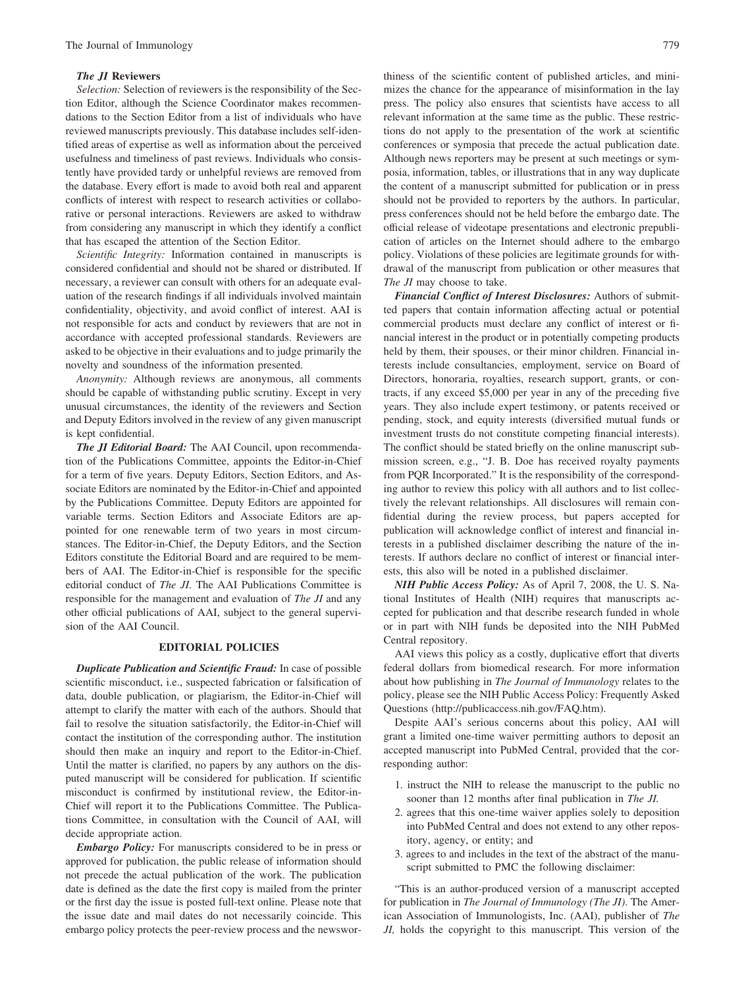#### *The JI* **Reviewers**

*Selection:* Selection of reviewers is the responsibility of the Section Editor, although the Science Coordinator makes recommendations to the Section Editor from a list of individuals who have reviewed manuscripts previously. This database includes self-identified areas of expertise as well as information about the perceived usefulness and timeliness of past reviews. Individuals who consistently have provided tardy or unhelpful reviews are removed from the database. Every effort is made to avoid both real and apparent conflicts of interest with respect to research activities or collaborative or personal interactions. Reviewers are asked to withdraw from considering any manuscript in which they identify a conflict that has escaped the attention of the Section Editor.

*Scientific Integrity:* Information contained in manuscripts is considered confidential and should not be shared or distributed. If necessary, a reviewer can consult with others for an adequate evaluation of the research findings if all individuals involved maintain confidentiality, objectivity, and avoid conflict of interest. AAI is not responsible for acts and conduct by reviewers that are not in accordance with accepted professional standards. Reviewers are asked to be objective in their evaluations and to judge primarily the novelty and soundness of the information presented.

*Anonymity:* Although reviews are anonymous, all comments should be capable of withstanding public scrutiny. Except in very unusual circumstances, the identity of the reviewers and Section and Deputy Editors involved in the review of any given manuscript is kept confidential.

*The JI Editorial Board:* The AAI Council, upon recommendation of the Publications Committee, appoints the Editor-in-Chief for a term of five years. Deputy Editors, Section Editors, and Associate Editors are nominated by the Editor-in-Chief and appointed by the Publications Committee. Deputy Editors are appointed for variable terms. Section Editors and Associate Editors are appointed for one renewable term of two years in most circumstances. The Editor-in-Chief, the Deputy Editors, and the Section Editors constitute the Editorial Board and are required to be members of AAI. The Editor-in-Chief is responsible for the specific editorial conduct of *The JI*. The AAI Publications Committee is responsible for the management and evaluation of *The JI* and any other official publications of AAI, subject to the general supervision of the AAI Council.

#### **EDITORIAL POLICIES**

*Duplicate Publication and Scientific Fraud:* In case of possible scientific misconduct, i.e., suspected fabrication or falsification of data, double publication, or plagiarism, the Editor-in-Chief will attempt to clarify the matter with each of the authors. Should that fail to resolve the situation satisfactorily, the Editor-in-Chief will contact the institution of the corresponding author. The institution should then make an inquiry and report to the Editor-in-Chief. Until the matter is clarified, no papers by any authors on the disputed manuscript will be considered for publication. If scientific misconduct is confirmed by institutional review, the Editor-in-Chief will report it to the Publications Committee. The Publications Committee, in consultation with the Council of AAI, will decide appropriate action.

*Embargo Policy:* For manuscripts considered to be in press or approved for publication, the public release of information should not precede the actual publication of the work. The publication date is defined as the date the first copy is mailed from the printer or the first day the issue is posted full-text online. Please note that the issue date and mail dates do not necessarily coincide. This embargo policy protects the peer-review process and the newswor-

thiness of the scientific content of published articles, and minimizes the chance for the appearance of misinformation in the lay press. The policy also ensures that scientists have access to all relevant information at the same time as the public. These restrictions do not apply to the presentation of the work at scientific conferences or symposia that precede the actual publication date. Although news reporters may be present at such meetings or symposia, information, tables, or illustrations that in any way duplicate the content of a manuscript submitted for publication or in press should not be provided to reporters by the authors. In particular, press conferences should not be held before the embargo date. The official release of videotape presentations and electronic prepublication of articles on the Internet should adhere to the embargo policy. Violations of these policies are legitimate grounds for withdrawal of the manuscript from publication or other measures that *The JI* may choose to take.

*Financial Conflict of Interest Disclosures:* Authors of submitted papers that contain information affecting actual or potential commercial products must declare any conflict of interest or financial interest in the product or in potentially competing products held by them, their spouses, or their minor children. Financial interests include consultancies, employment, service on Board of Directors, honoraria, royalties, research support, grants, or contracts, if any exceed \$5,000 per year in any of the preceding five years. They also include expert testimony, or patents received or pending, stock, and equity interests (diversified mutual funds or investment trusts do not constitute competing financial interests). The conflict should be stated briefly on the online manuscript submission screen, e.g., "J. B. Doe has received royalty payments from PQR Incorporated." It is the responsibility of the corresponding author to review this policy with all authors and to list collectively the relevant relationships. All disclosures will remain confidential during the review process, but papers accepted for publication will acknowledge conflict of interest and financial interests in a published disclaimer describing the nature of the interests. If authors declare no conflict of interest or financial interests, this also will be noted in a published disclaimer.

*NIH Public Access Policy:* As of April 7, 2008, the U. S. National Institutes of Health (NIH) requires that manuscripts accepted for publication and that describe research funded in whole or in part with NIH funds be deposited into the NIH PubMed Central repository.

AAI views this policy as a costly, duplicative effort that diverts federal dollars from biomedical research. For more information about how publishing in *The Journal of Immunology* relates to the policy, please see the NIH Public Access Policy: Frequently Asked Questions (http://publicaccess.nih.gov/FAQ.htm).

Despite AAI's serious concerns about this policy, AAI will grant a limited one-time waiver permitting authors to deposit an accepted manuscript into PubMed Central, provided that the corresponding author:

- 1. instruct the NIH to release the manuscript to the public no sooner than 12 months after final publication in *The JI.*
- 2. agrees that this one-time waiver applies solely to deposition into PubMed Central and does not extend to any other repository, agency, or entity; and
- 3. agrees to and includes in the text of the abstract of the manuscript submitted to PMC the following disclaimer:

"This is an author-produced version of a manuscript accepted for publication in *The Journal of Immunology (The JI)*. The American Association of Immunologists, Inc. (AAI), publisher of *The JI,* holds the copyright to this manuscript. This version of the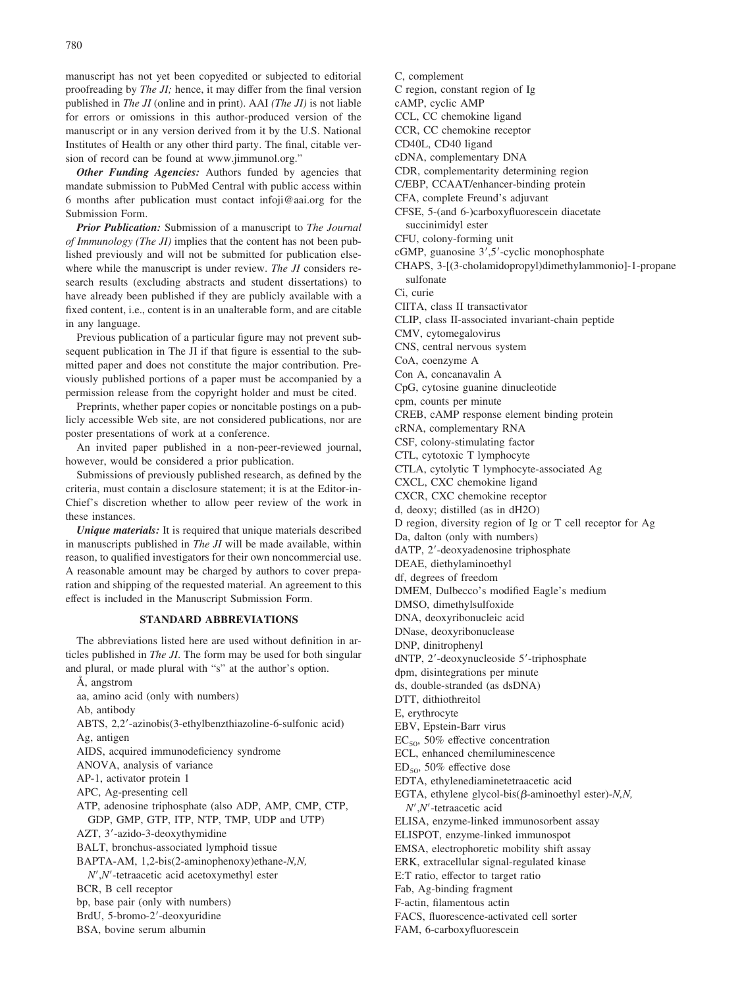manuscript has not yet been copyedited or subjected to editorial proofreading by *The JI;* hence, it may differ from the final version published in *The JI* (online and in print). AAI *(The JI)* is not liable for errors or omissions in this author-produced version of the manuscript or in any version derived from it by the U.S. National Institutes of Health or any other third party. The final, citable version of record can be found at www.jimmunol.org."

*Other Funding Agencies:* Authors funded by agencies that mandate submission to PubMed Central with public access within 6 months after publication must contact infoji@aai.org for the Submission Form.

*Prior Publication:* Submission of a manuscript to *The Journal of Immunology (The JI)* implies that the content has not been published previously and will not be submitted for publication elsewhere while the manuscript is under review. *The JI* considers research results (excluding abstracts and student dissertations) to have already been published if they are publicly available with a fixed content, i.e., content is in an unalterable form, and are citable in any language.

Previous publication of a particular figure may not prevent subsequent publication in The JI if that figure is essential to the submitted paper and does not constitute the major contribution. Previously published portions of a paper must be accompanied by a permission release from the copyright holder and must be cited.

Preprints, whether paper copies or noncitable postings on a publicly accessible Web site, are not considered publications, nor are poster presentations of work at a conference.

An invited paper published in a non-peer-reviewed journal, however, would be considered a prior publication.

Submissions of previously published research, as defined by the criteria, must contain a disclosure statement; it is at the Editor-in-Chief's discretion whether to allow peer review of the work in these instances.

*Unique materials:* It is required that unique materials described in manuscripts published in *The JI* will be made available, within reason, to qualified investigators for their own noncommercial use. A reasonable amount may be charged by authors to cover preparation and shipping of the requested material. An agreement to this effect is included in the Manuscript Submission Form.

#### **STANDARD ABBREVIATIONS**

The abbreviations listed here are used without definition in articles published in *The JI*. The form may be used for both singular and plural, or made plural with "s" at the author's option.

Å, angstrom aa, amino acid (only with numbers) Ab, antibody ABTS, 2,2-azinobis(3-ethylbenzthiazoline-6-sulfonic acid) Ag, antigen AIDS, acquired immunodeficiency syndrome ANOVA, analysis of variance AP-1, activator protein 1 APC, Ag-presenting cell ATP, adenosine triphosphate (also ADP, AMP, CMP, CTP, GDP, GMP, GTP, ITP, NTP, TMP, UDP and UTP) AZT, 3'-azido-3-deoxythymidine BALT, bronchus-associated lymphoid tissue BAPTA-AM, 1,2-bis(2-aminophenoxy)ethane-*N,N, N*,*N*-tetraacetic acid acetoxymethyl ester BCR, B cell receptor bp, base pair (only with numbers) BrdU, 5-bromo-2-deoxyuridine BSA, bovine serum albumin

C, complement

- C region, constant region of Ig
- cAMP, cyclic AMP
- CCL, CC chemokine ligand
- CCR, CC chemokine receptor
- CD40L, CD40 ligand
- cDNA, complementary DNA
- CDR, complementarity determining region
- C/EBP, CCAAT/enhancer-binding protein
- CFA, complete Freund's adjuvant
- CFSE, 5-(and 6-)carboxyfluorescein diacetate succinimidyl ester

CFU, colony-forming unit

- cGMP, guanosine 3',5'-cyclic monophosphate
- CHAPS, 3-[(3-cholamidopropyl)dimethylammonio]-1-propane sulfonate

Ci, curie

- CIITA, class II transactivator
- CLIP, class II-associated invariant-chain peptide
- CMV, cytomegalovirus
- CNS, central nervous system
- CoA, coenzyme A
- Con A, concanavalin A

CpG, cytosine guanine dinucleotide

cpm, counts per minute

CREB, cAMP response element binding protein

cRNA, complementary RNA

CSF, colony-stimulating factor

- CTL, cytotoxic T lymphocyte
- CTLA, cytolytic T lymphocyte-associated Ag
- CXCL, CXC chemokine ligand
- CXCR, CXC chemokine receptor
- d, deoxy; distilled (as in dH2O)
- D region, diversity region of Ig or T cell receptor for Ag
- Da, dalton (only with numbers)
- dATP, 2-deoxyadenosine triphosphate
- DEAE, diethylaminoethyl
- df, degrees of freedom
- DMEM, Dulbecco's modified Eagle's medium
- DMSO, dimethylsulfoxide
- DNA, deoxyribonucleic acid

DNase, deoxyribonuclease

- DNP, dinitrophenyl
- dNTP, 2'-deoxynucleoside 5'-triphosphate
- dpm, disintegrations per minute
- ds, double-stranded (as dsDNA)

DTT, dithiothreitol

- E, erythrocyte
- EBV, Epstein-Barr virus
- $EC_{50}$ , 50% effective concentration
- ECL, enhanced chemiluminescence
- $ED_{50}$ , 50% effective dose
- EDTA, ethylenediaminetetraacetic acid
- EGTA, ethylene glycol-bis $(\beta$ -aminoethyl ester)-*N,N*, *N*,*N*-tetraacetic acid
- ELISA, enzyme-linked immunosorbent assay
- ELISPOT, enzyme-linked immunospot
- EMSA, electrophoretic mobility shift assay
- ERK, extracellular signal-regulated kinase
- E:T ratio, effector to target ratio
- Fab, Ag-binding fragment
- F-actin, filamentous actin
- FACS, fluorescence-activated cell sorter
- 
- FAM, 6-carboxyfluorescein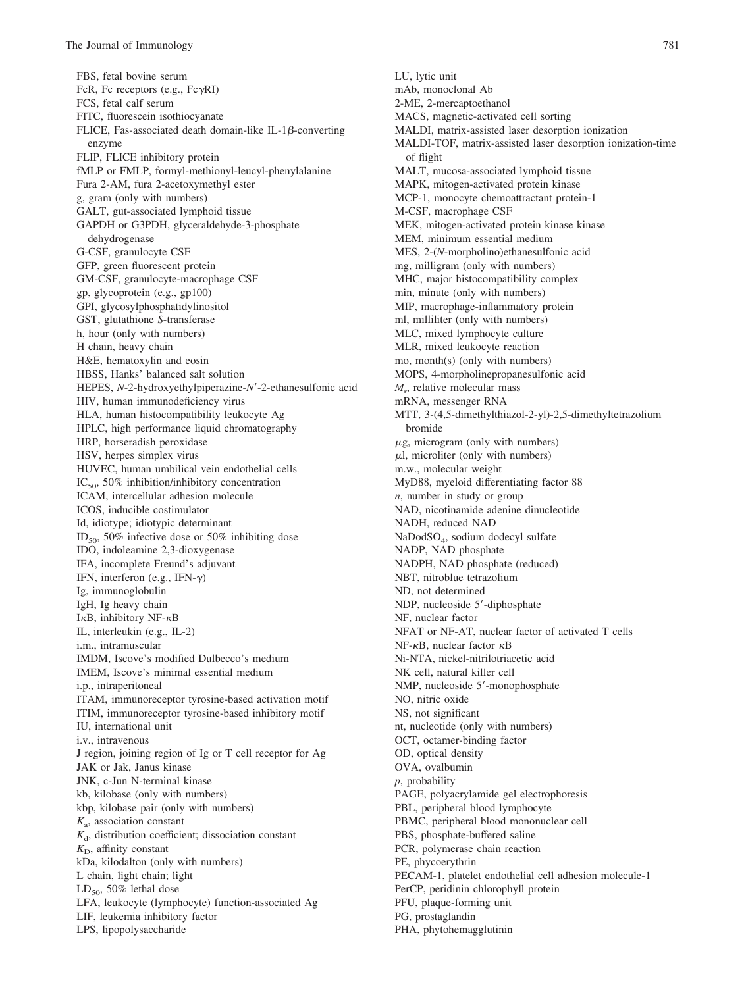FBS, fetal bovine serum FcR, Fc receptors (e.g.,  $Fc\gamma RI$ ) FCS, fetal calf serum FITC, fluorescein isothiocyanate FLICE, Fas-associated death domain-like IL-1 $\beta$ -converting enzyme FLIP, FLICE inhibitory protein fMLP or FMLP, formyl-methionyl-leucyl-phenylalanine Fura 2-AM, fura 2-acetoxymethyl ester g, gram (only with numbers) GALT, gut-associated lymphoid tissue GAPDH or G3PDH, glyceraldehyde-3-phosphate dehydrogenase G-CSF, granulocyte CSF GFP, green fluorescent protein GM-CSF, granulocyte-macrophage CSF gp, glycoprotein (e.g., gp100) GPI, glycosylphosphatidylinositol GST, glutathione *S*-transferase h, hour (only with numbers) H chain, heavy chain H&E, hematoxylin and eosin HBSS, Hanks' balanced salt solution HEPES, *N*-2-hydroxyethylpiperazine-*N*-2-ethanesulfonic acid HIV, human immunodeficiency virus HLA, human histocompatibility leukocyte Ag HPLC, high performance liquid chromatography HRP, horseradish peroxidase HSV, herpes simplex virus HUVEC, human umbilical vein endothelial cells  $IC_{50}$ , 50% inhibition/inhibitory concentration ICAM, intercellular adhesion molecule ICOS, inducible costimulator Id, idiotype; idiotypic determinant ID<sub>50</sub>, 50% infective dose or 50% inhibiting dose IDO, indoleamine 2,3-dioxygenase IFA, incomplete Freund's adjuvant IFN, interferon (e.g., IFN- $\gamma$ ) Ig, immunoglobulin IgH, Ig heavy chain I $\kappa$ B, inhibitory NF- $\kappa$ B IL, interleukin (e.g., IL-2) i.m., intramuscular IMDM, Iscove's modified Dulbecco's medium IMEM, Iscove's minimal essential medium i.p., intraperitoneal ITAM, immunoreceptor tyrosine-based activation motif ITIM, immunoreceptor tyrosine-based inhibitory motif IU, international unit i.v., intravenous J region, joining region of Ig or T cell receptor for Ag JAK or Jak, Janus kinase JNK, c-Jun N-terminal kinase kb, kilobase (only with numbers) kbp, kilobase pair (only with numbers) *K*a, association constant  $K<sub>d</sub>$ , distribution coefficient; dissociation constant  $K<sub>D</sub>$ , affinity constant kDa, kilodalton (only with numbers) L chain, light chain; light  $LD_{50}$ , 50% lethal dose LFA, leukocyte (lymphocyte) function-associated Ag LIF, leukemia inhibitory factor LPS, lipopolysaccharide

LU, lytic unit mAb, monoclonal Ab 2-ME, 2-mercaptoethanol MACS, magnetic-activated cell sorting MALDI, matrix-assisted laser desorption ionization MALDI-TOF, matrix-assisted laser desorption ionization-time of flight MALT, mucosa-associated lymphoid tissue MAPK, mitogen-activated protein kinase MCP-1, monocyte chemoattractant protein-1 M-CSF, macrophage CSF MEK, mitogen-activated protein kinase kinase MEM, minimum essential medium MES, 2-(*N*-morpholino)ethanesulfonic acid mg, milligram (only with numbers) MHC, major histocompatibility complex min, minute (only with numbers) MIP, macrophage-inflammatory protein ml, milliliter (only with numbers) MLC, mixed lymphocyte culture MLR, mixed leukocyte reaction mo, month(s) (only with numbers) MOPS, 4-morpholinepropanesulfonic acid *M*r , relative molecular mass mRNA, messenger RNA MTT, 3-(4,5-dimethylthiazol-2-yl)-2,5-dimethyltetrazolium bromide  $\mu$ g, microgram (only with numbers)  $\mu$ l, microliter (only with numbers) m.w., molecular weight MyD88, myeloid differentiating factor 88 *n*, number in study or group NAD, nicotinamide adenine dinucleotide NADH, reduced NAD NaDodSO4, sodium dodecyl sulfate NADP, NAD phosphate NADPH, NAD phosphate (reduced) NBT, nitroblue tetrazolium ND, not determined NDP, nucleoside 5'-diphosphate NF, nuclear factor NFAT or NF-AT, nuclear factor of activated T cells  $NF-\kappa B$ , nuclear factor  $\kappa B$ Ni-NTA, nickel-nitrilotriacetic acid NK cell, natural killer cell NMP, nucleoside 5'-monophosphate NO, nitric oxide NS, not significant nt, nucleotide (only with numbers) OCT, octamer-binding factor OD, optical density OVA, ovalbumin *p*, probability PAGE, polyacrylamide gel electrophoresis PBL, peripheral blood lymphocyte PBMC, peripheral blood mononuclear cell PBS, phosphate-buffered saline PCR, polymerase chain reaction PE, phycoerythrin PECAM-1, platelet endothelial cell adhesion molecule-1 PerCP, peridinin chlorophyll protein PFU, plaque-forming unit PG, prostaglandin PHA, phytohemagglutinin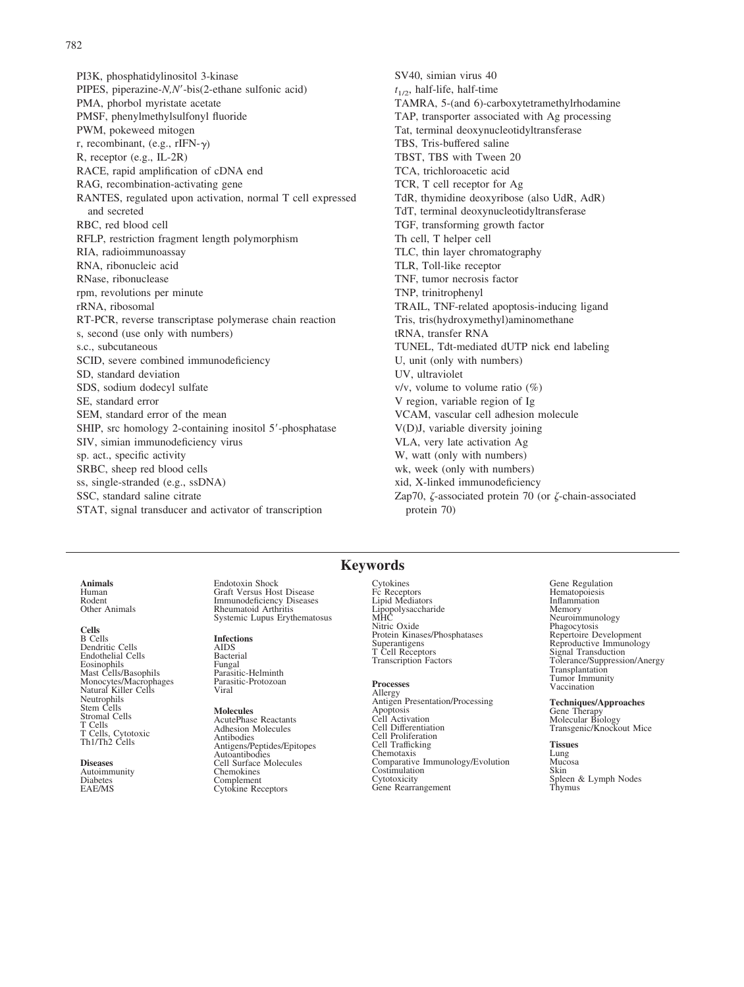PI3K, phosphatidylinositol 3-kinase PIPES, piperazine-*N,N*-bis(2-ethane sulfonic acid) PMA, phorbol myristate acetate PMSF, phenylmethylsulfonyl fluoride PWM, pokeweed mitogen r, recombinant, (e.g.,  $rIFN-\gamma$ ) R, receptor (e.g., IL-2R) RACE, rapid amplification of cDNA end RAG, recombination-activating gene RANTES, regulated upon activation, normal T cell expressed and secreted RBC, red blood cell RFLP, restriction fragment length polymorphism RIA, radioimmunoassay RNA, ribonucleic acid RNase, ribonuclease rpm, revolutions per minute rRNA, ribosomal RT-PCR, reverse transcriptase polymerase chain reaction s, second (use only with numbers) s.c., subcutaneous SCID, severe combined immunodeficiency SD, standard deviation SDS, sodium dodecyl sulfate SE, standard error SEM, standard error of the mean SHIP, src homology 2-containing inositol 5'-phosphatase SIV, simian immunodeficiency virus sp. act., specific activity SRBC, sheep red blood cells ss, single-stranded (e.g., ssDNA) SSC, standard saline citrate STAT, signal transducer and activator of transcription

SV40, simian virus 40  $t_{1/2}$ , half-life, half-time TAMRA, 5-(and 6)-carboxytetramethylrhodamine TAP, transporter associated with Ag processing Tat, terminal deoxynucleotidyltransferase TBS, Tris-buffered saline TBST, TBS with Tween 20 TCA, trichloroacetic acid TCR, T cell receptor for Ag TdR, thymidine deoxyribose (also UdR, AdR) TdT, terminal deoxynucleotidyltransferase TGF, transforming growth factor Th cell, T helper cell TLC, thin layer chromatography TLR, Toll-like receptor TNF, tumor necrosis factor TNP, trinitrophenyl TRAIL, TNF-related apoptosis-inducing ligand Tris, tris(hydroxymethyl)aminomethane tRNA, transfer RNA TUNEL, Tdt-mediated dUTP nick end labeling U, unit (only with numbers) UV, ultraviolet  $v/v$ , volume to volume ratio  $(\%)$ V region, variable region of Ig VCAM, vascular cell adhesion molecule V(D)J, variable diversity joining VLA, very late activation Ag W, watt (only with numbers) wk, week (only with numbers) xid, X-linked immunodeficiency Zap70,  $\zeta$ -associated protein 70 (or  $\zeta$ -chain-associated protein 70)

**Animals** Human

Rodent Other Animals

#### **Cells**

B Cells Dendritic Cells Endothelial Cells Eosinophils Mast Cells/Basophils Monocytes/Macrophages Natural Killer Cells Neutrophils Stem Cells Stromal Cells T Cells T Cells, Cytotoxic Th1/Th2 Cells

**Diseases** Autoimmunity Diabetes EAE/MS

Endotoxin Shock Graft Versus Host Disease Immunodeficiency Diseases Rheumatoid Arthritis Systemic Lupus Erythematosus

#### **Infections**

AIDS **Bacterial** Fungal Parasitic-Helminth Parasitic-Protozoan Viral

**Molecules** AcutePhase Reactants Adhesion Molecules **Antibodies** Antigens/Peptides/Epitopes Autoantibodies Cell Surface Molecules Chemokines Complement Cytokine Receptors

#### **Keywords**

Cytokines Fc Receptors Lipid Mediators Lipopolysaccharide MHC Nitric Oxide Protein Kinases/Phosphatases Superantigens T Cell Receptors Transcription Factors

#### **Processes**

Allergy Antigen Presentation/Processing Apoptosis Cell Activation Cell Differentiation Cell Proliferation Cell Trafficking Chemotaxis Comparative Immunology/Evolution Costimulation Cytotoxicity Gene Rearrangement

Gene Regulation Hematopoiesis Inflammation Memory Neuroimmunology Phagocytosis Repertoire Development Reproductive Immunology Signal Transduction Tolerance/Suppression/Anergy Transplantation Tumor Immunity Vaccination

#### **Techniques/Approaches**

Gene Therapy Molecular Biology Transgenic/Knockout Mice

**Tissues** Lung Mucosa Skin Spleen & Lymph Nodes Thymus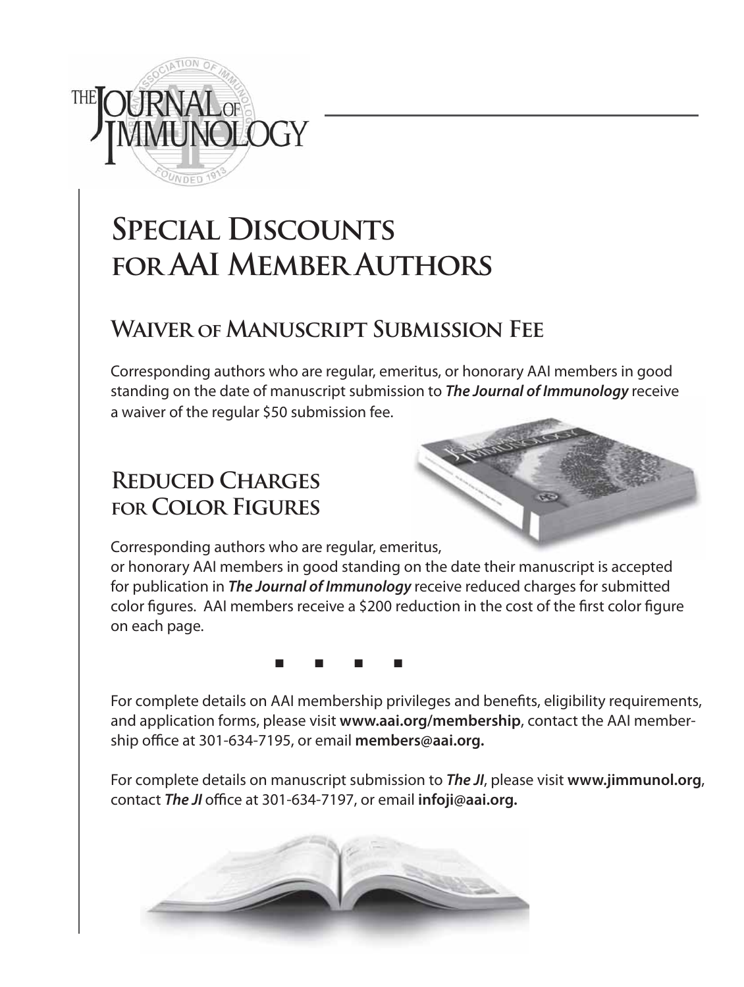

## **Special Discounts for AAI Member Authors**

## **Waiver of Manuscript Submission Fee**

Corresponding authors who are regular, emeritus, or honorary AAI members in good standing on the date of manuscript submission to *The Journal of Immunology* receive a waiver of the regular \$50 submission fee.

## **Reduced Charges for Color Figures**



Corresponding authors who are regular, emeritus,

or honorary AAI members in good standing on the date their manuscript is accepted for publication in *The Journal of Immunology* receive reduced charges for submitted color figures. AAI members receive a \$200 reduction in the cost of the first color figure on each page.

<u>in the contract of the contract of the contract of the contract of the contract of the contract of the contract of the contract of the contract of the contract of the contract of the contract of the contract of the contra</u>

For complete details on AAI membership privileges and benefits, eligibility requirements, and application forms, please visit **www.aai.org/membership**, contact the AAI membership office at 301-634-7195, or email **members@aai.org.**

For complete details on manuscript submission to *The JI*, please visit **www.jimmunol.org**, contact *The JI* office at 301-634-7197, or email **infoji@aai.org.**

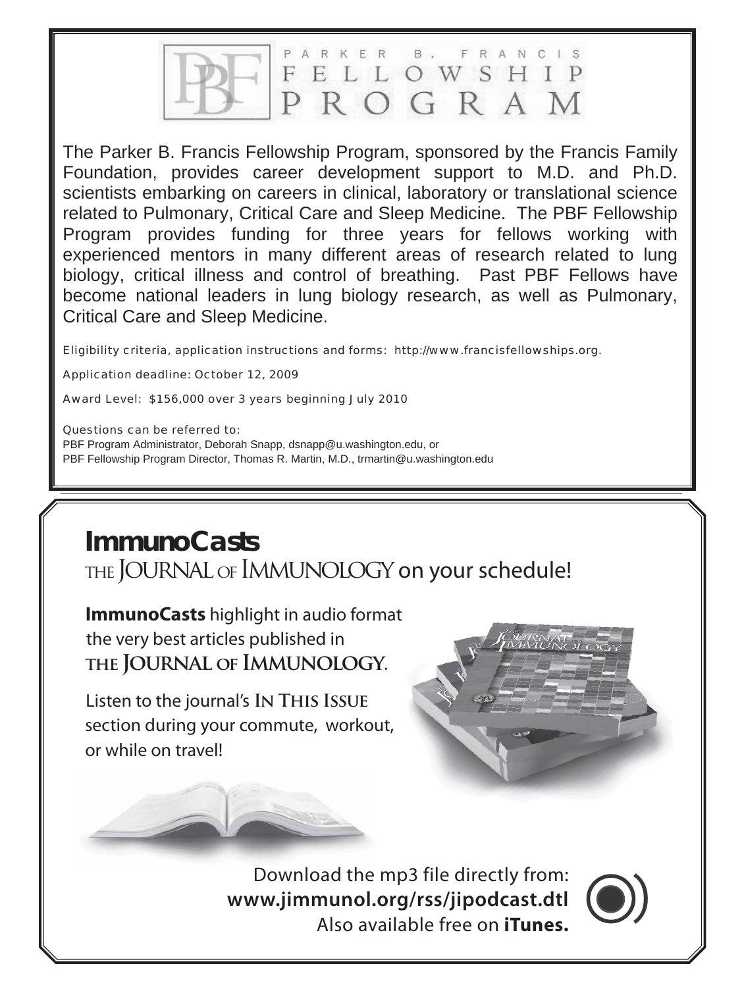ARKER **B**. F R A N C I S ELLOWSHIP F ROGRAM

The Parker B. Francis Fellowship Program, sponsored by the Francis Family Foundation, provides career development support to M.D. and Ph.D. scientists embarking on careers in clinical, laboratory or translational science related to Pulmonary, Critical Care and Sleep Medicine. The PBF Fellowship Program provides funding for three years for fellows working with experienced mentors in many different areas of research related to lung biology, critical illness and control of breathing. Past PBF Fellows have become national leaders in lung biology research, as well as Pulmonary, Critical Care and Sleep Medicine.

Eligibility criteria, application instructions and forms: http://www.francisfellowships.org.

Application deadline: October 12, 2009

Award Level: \$156,000 over 3 years beginning July 2010

Questions can be referred to:

PBF Program Administrator, Deborah Snapp, dsnapp@u.washington.edu, or PBF Fellowship Program Director, Thomas R. Martin, M.D., trmartin@u.washington.edu

## **ImmunoCasts**

THE JOURNAL OF IMMUNOLOGY on your schedule!

**ImmunoCasts** highlight in audio format the very best articles published in  **the Journal of Immunology.**

Listen to the journal's **In This Issue** section during your commute, workout, or while on travel!



Download the mp3 file directly from: **www.jimmunol.org/rss/jipodcast.dtl**  ad the mp3 file directly from:<br>**nunol.org/rss/jipodcast.dtl**<br>Also available free on **iTunes.**